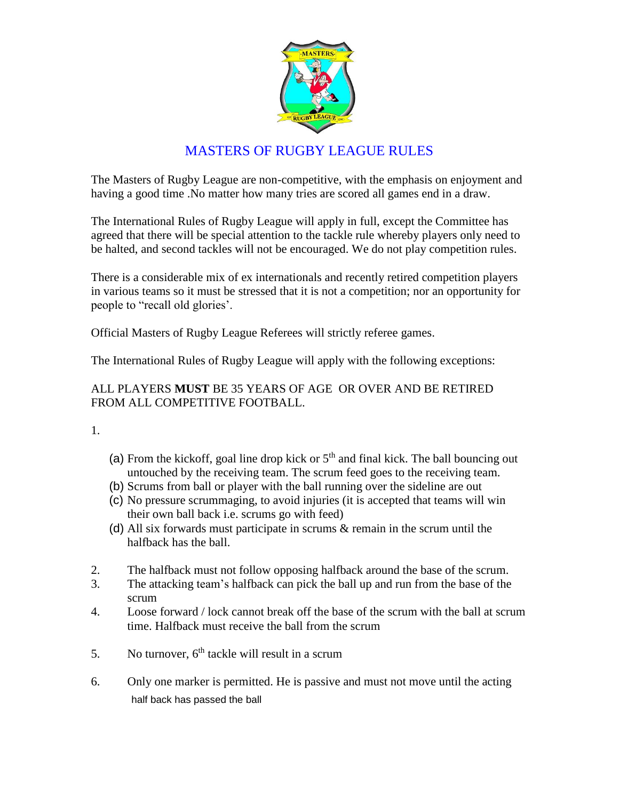

## MASTERS OF RUGBY LEAGUE RULES

The Masters of Rugby League are non-competitive, with the emphasis on enjoyment and having a good time .No matter how many tries are scored all games end in a draw.

The International Rules of Rugby League will apply in full, except the Committee has agreed that there will be special attention to the tackle rule whereby players only need to be halted, and second tackles will not be encouraged. We do not play competition rules.

There is a considerable mix of ex internationals and recently retired competition players in various teams so it must be stressed that it is not a competition; nor an opportunity for people to "recall old glories'.

Official Masters of Rugby League Referees will strictly referee games.

The International Rules of Rugby League will apply with the following exceptions:

## ALL PLAYERS **MUST** BE 35 YEARS OF AGE OR OVER AND BE RETIRED FROM ALL COMPETITIVE FOOTBALL.

1.

- (a) From the kickoff, goal line drop kick or  $5<sup>th</sup>$  and final kick. The ball bouncing out untouched by the receiving team. The scrum feed goes to the receiving team.
- (b) Scrums from ball or player with the ball running over the sideline are out
- (c) No pressure scrummaging, to avoid injuries (it is accepted that teams will win their own ball back i.e. scrums go with feed)
- (d) All six forwards must participate in scrums & remain in the scrum until the halfback has the ball.
- 2. The halfback must not follow opposing halfback around the base of the scrum.
- 3. The attacking team's halfback can pick the ball up and run from the base of the scrum
- 4. Loose forward / lock cannot break off the base of the scrum with the ball at scrum time. Halfback must receive the ball from the scrum
- 5. No turnover,  $6<sup>th</sup>$  tackle will result in a scrum
- 6. Only one marker is permitted. He is passive and must not move until the acting half back has passed the ball